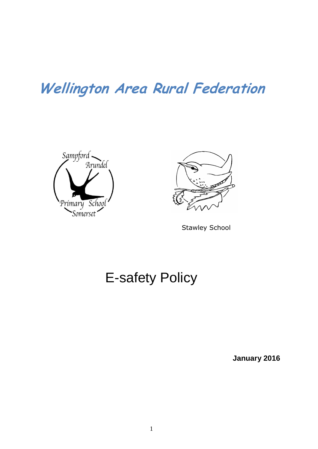# **Wellington Area Rural Federation**





Stawley School

# E-safety Policy

**January 2016**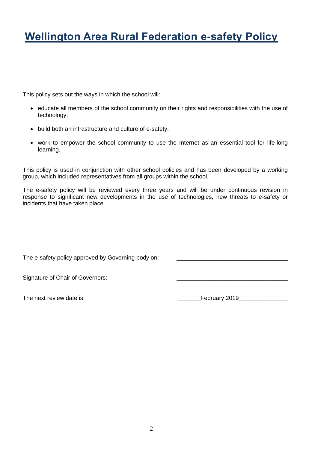# **Wellington Area Rural Federation e-safety Policy**

This policy sets out the ways in which the school will:

- educate all members of the school community on their rights and responsibilities with the use of technology;
- build both an infrastructure and culture of e-safety;
- work to empower the school community to use the Internet as an essential tool for life-long learning.

This policy is used in conjunction with other school policies and has been developed by a working group, which included representatives from all groups within the school.

The e-safety policy will be reviewed every three years and will be under continuous revision in response to significant new developments in the use of technologies, new threats to e-safety or incidents that have taken place.

The e-safety policy approved by Governing body on:

Signature of Chair of Governors:

The next review date is: <br>
The next review date is: <br>
The next review date is: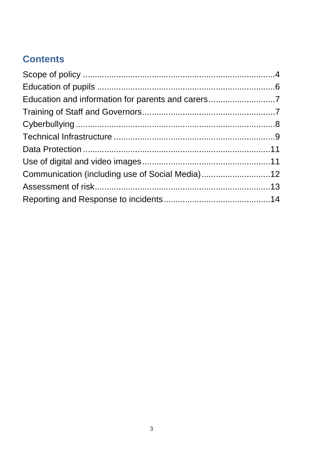# **Contents**

| Communication (including use of Social Media)12 |  |
|-------------------------------------------------|--|
|                                                 |  |
|                                                 |  |
|                                                 |  |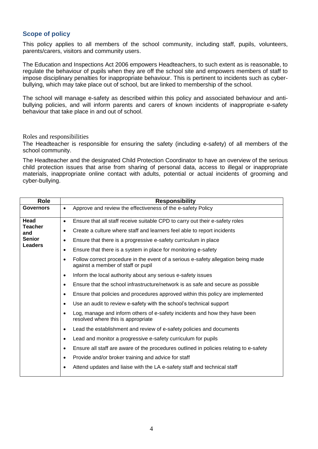## <span id="page-3-0"></span>**Scope of policy**

This policy applies to all members of the school community, including staff, pupils, volunteers, parents/carers, visitors and community users.

The Education and Inspections Act 2006 empowers Headteachers, to such extent as is reasonable, to regulate the behaviour of pupils when they are off the school site and empowers members of staff to impose disciplinary penalties for inappropriate behaviour. This is pertinent to incidents such as cyberbullying, which may take place out of school, but are linked to membership of the school.

The school will manage e-safety as described within this policy and associated behaviour and antibullying policies, and will inform parents and carers of known incidents of inappropriate e-safety behaviour that take place in and out of school.

#### Roles and responsibilities

The Headteacher is responsible for ensuring the safety (including e-safety) of all members of the school community.

The Headteacher and the designated Child Protection Coordinator to have an overview of the serious child protection issues that arise from sharing of personal data, access to illegal or inappropriate materials, inappropriate online contact with adults, potential or actual incidents of grooming and cyber-bullying.

| <b>Role</b>                                                      | <b>Responsibility</b>                                                                                                   |  |  |
|------------------------------------------------------------------|-------------------------------------------------------------------------------------------------------------------------|--|--|
| <b>Governors</b>                                                 | Approve and review the effectiveness of the e-safety Policy<br>$\bullet$                                                |  |  |
| Head<br><b>Teacher</b><br>and<br><b>Senior</b><br><b>Leaders</b> | Ensure that all staff receive suitable CPD to carry out their e-safety roles<br>$\bullet$                               |  |  |
|                                                                  | Create a culture where staff and learners feel able to report incidents<br>٠                                            |  |  |
|                                                                  | Ensure that there is a progressive e-safety curriculum in place<br>٠                                                    |  |  |
|                                                                  | Ensure that there is a system in place for monitoring e-safety<br>$\bullet$                                             |  |  |
|                                                                  | Follow correct procedure in the event of a serious e-safety allegation being made<br>against a member of staff or pupil |  |  |
|                                                                  | Inform the local authority about any serious e-safety issues<br>$\bullet$                                               |  |  |
|                                                                  | Ensure that the school infrastructure/network is as safe and secure as possible                                         |  |  |
|                                                                  | Ensure that policies and procedures approved within this policy are implemented<br>$\bullet$                            |  |  |
|                                                                  | Use an audit to review e-safety with the school's technical support                                                     |  |  |
|                                                                  | Log, manage and inform others of e-safety incidents and how they have been<br>resolved where this is appropriate        |  |  |
|                                                                  | Lead the establishment and review of e-safety policies and documents                                                    |  |  |
|                                                                  | Lead and monitor a progressive e-safety curriculum for pupils<br>٠                                                      |  |  |
|                                                                  | Ensure all staff are aware of the procedures outlined in policies relating to e-safety<br>٠                             |  |  |
|                                                                  | Provide and/or broker training and advice for staff<br>٠                                                                |  |  |
|                                                                  | Attend updates and liaise with the LA e-safety staff and technical staff<br>$\bullet$                                   |  |  |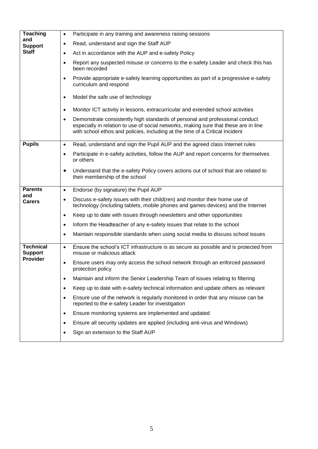| <b>Teaching</b><br>and<br><b>Support</b><br><b>Staff</b> | Participate in any training and awareness raising sessions<br>$\bullet$                                                                                                                                                                                           |
|----------------------------------------------------------|-------------------------------------------------------------------------------------------------------------------------------------------------------------------------------------------------------------------------------------------------------------------|
|                                                          | Read, understand and sign the Staff AUP<br>$\bullet$                                                                                                                                                                                                              |
|                                                          | Act in accordance with the AUP and e-safety Policy                                                                                                                                                                                                                |
|                                                          | Report any suspected misuse or concerns to the e-safety Leader and check this has<br>$\bullet$<br>been recorded                                                                                                                                                   |
|                                                          | Provide appropriate e-safety learning opportunities as part of a progressive e-safety<br>curriculum and respond                                                                                                                                                   |
|                                                          | Model the safe use of technology<br>$\bullet$                                                                                                                                                                                                                     |
|                                                          | Monitor ICT activity in lessons, extracurricular and extended school activities<br>$\bullet$                                                                                                                                                                      |
|                                                          | Demonstrate consistently high standards of personal and professional conduct<br>$\bullet$<br>especially in relation to use of social networks, making sure that these are in line<br>with school ethos and policies, including at the time of a Critical Incident |
| <b>Pupils</b>                                            | Read, understand and sign the Pupil AUP and the agreed class Internet rules<br>$\bullet$                                                                                                                                                                          |
|                                                          | Participate in e-safety activities, follow the AUP and report concerns for themselves<br>or others                                                                                                                                                                |
|                                                          | Understand that the e-safety Policy covers actions out of school that are related to<br>their membership of the school                                                                                                                                            |
| <b>Parents</b><br>and<br><b>Carers</b>                   | Endorse (by signature) the Pupil AUP<br>$\bullet$                                                                                                                                                                                                                 |
|                                                          | Discuss e-safety issues with their child(ren) and monitor their home use of<br>$\bullet$<br>technology (including tablets, mobile phones and games devices) and the Internet                                                                                      |
|                                                          | Keep up to date with issues through newsletters and other opportunities<br>$\bullet$                                                                                                                                                                              |
|                                                          | Inform the Headteacher of any e-safety issues that relate to the school<br>$\bullet$                                                                                                                                                                              |
|                                                          | Maintain responsible standards when using social media to discuss school issues                                                                                                                                                                                   |
| <b>Technical</b><br><b>Support</b>                       | Ensure the school's ICT infrastructure is as secure as possible and is protected from<br>$\bullet$<br>misuse or malicious attack                                                                                                                                  |
| <b>Provider</b>                                          | Ensure users may only access the school network through an enforced password<br>protection policy                                                                                                                                                                 |
|                                                          | Maintain and inform the Senior Leadership Team of issues relating to filtering                                                                                                                                                                                    |
|                                                          | Keep up to date with e-safety technical information and update others as relevant                                                                                                                                                                                 |
|                                                          | Ensure use of the network is regularly monitored in order that any misuse can be<br>reported to the e-safety Leader for investigation                                                                                                                             |
|                                                          | Ensure monitoring systems are implemented and updated<br>٠                                                                                                                                                                                                        |
|                                                          | Ensure all security updates are applied (including anti-virus and Windows)<br>٠                                                                                                                                                                                   |
|                                                          | Sign an extension to the Staff AUP                                                                                                                                                                                                                                |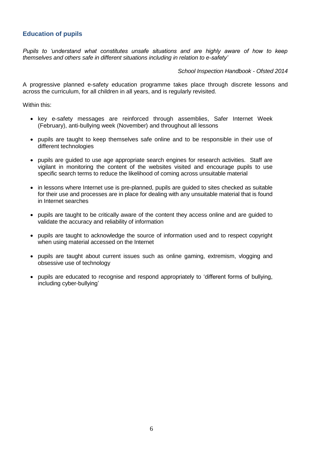# <span id="page-5-0"></span>**Education of pupils**

*Pupils to 'understand what constitutes unsafe situations and are highly aware of how to keep themselves and others safe in different situations including in relation to e-safety'* 

*School Inspection Handbook - Ofsted 2014*

A progressive planned e-safety education programme takes place through discrete lessons and across the curriculum, for all children in all years, and is regularly revisited.

Within this:

- key e-safety messages are reinforced through assemblies, Safer Internet Week (February), anti-bullying week (November) and throughout all lessons
- pupils are taught to keep themselves safe online and to be responsible in their use of different technologies
- pupils are guided to use age appropriate search engines for research activities. Staff are vigilant in monitoring the content of the websites visited and encourage pupils to use specific search terms to reduce the likelihood of coming across unsuitable material
- in lessons where Internet use is pre-planned, pupils are guided to sites checked as suitable for their use and processes are in place for dealing with any unsuitable material that is found in Internet searches
- pupils are taught to be critically aware of the content they access online and are guided to validate the accuracy and reliability of information
- pupils are taught to acknowledge the source of information used and to respect copyright when using material accessed on the Internet
- pupils are taught about current issues such as online gaming, extremism, vlogging and obsessive use of technology
- pupils are educated to recognise and respond appropriately to 'different forms of bullying, including cyber-bullying'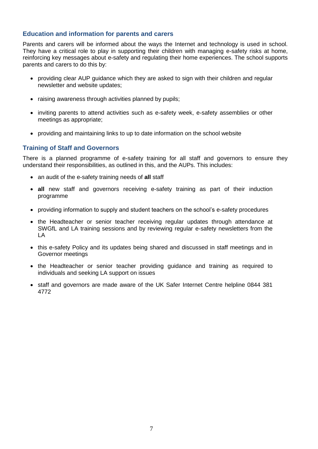#### <span id="page-6-0"></span>**Education and information for parents and carers**

Parents and carers will be informed about the ways the Internet and technology is used in school. They have a critical role to play in supporting their children with managing e-safety risks at home, reinforcing key messages about e-safety and regulating their home experiences. The school supports parents and carers to do this by:

- providing clear AUP guidance which they are asked to sign with their children and regular newsletter and website updates;
- raising awareness through activities planned by pupils;
- inviting parents to attend activities such as e-safety week, e-safety assemblies or other meetings as appropriate;
- providing and maintaining links to up to date information on the school website

#### <span id="page-6-1"></span>**Training of Staff and Governors**

There is a planned programme of e-safety training for all staff and governors to ensure they understand their responsibilities, as outlined in this, and the AUPs. This includes:

- an audit of the e-safety training needs of **all** staff
- **all** new staff and governors receiving e-safety training as part of their induction programme
- providing information to supply and student teachers on the school's e-safety procedures
- the Headteacher or senior teacher receiving regular updates through attendance at SWGfL and LA training sessions and by reviewing regular e-safety newsletters from the LA
- this e-safety Policy and its updates being shared and discussed in staff meetings and in Governor meetings
- the Headteacher or senior teacher providing guidance and training as required to individuals and seeking LA support on issues
- staff and governors are made aware of the UK Safer Internet Centre helpline 0844 381 4772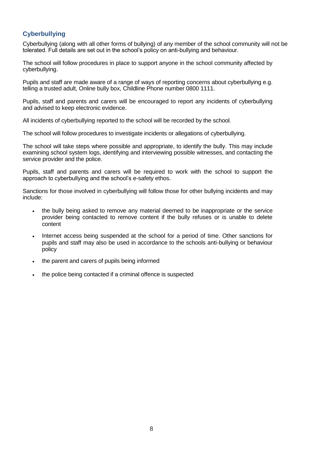# <span id="page-7-0"></span>**Cyberbullying**

Cyberbullying (along with all other forms of bullying) of any member of the school community will not be tolerated. Full details are set out in the school's policy on anti-bullying and behaviour.

The school will follow procedures in place to support anyone in the school community affected by cyberbullying.

Pupils and staff are made aware of a range of ways of reporting concerns about cyberbullying e.g. telling a trusted adult, Online bully box, Childline Phone number 0800 1111.

Pupils, staff and parents and carers will be encouraged to report any incidents of cyberbullying and advised to keep electronic evidence.

All incidents of cyberbullying reported to the school will be recorded by the school.

The school will follow procedures to investigate incidents or allegations of cyberbullying.

The school will take steps where possible and appropriate, to identify the bully. This may include examining school system logs, identifying and interviewing possible witnesses, and contacting the service provider and the police.

Pupils, staff and parents and carers will be required to work with the school to support the approach to cyberbullying and the school's e-safety ethos.

Sanctions for those involved in cyberbullying will follow those for other bullying incidents and may include:

- the bully being asked to remove any material deemed to be inappropriate or the service provider being contacted to remove content if the bully refuses or is unable to delete content
- Internet access being suspended at the school for a period of time. Other sanctions for pupils and staff may also be used in accordance to the schools anti-bullying or behaviour policy
- the parent and carers of pupils being informed
- the police being contacted if a criminal offence is suspected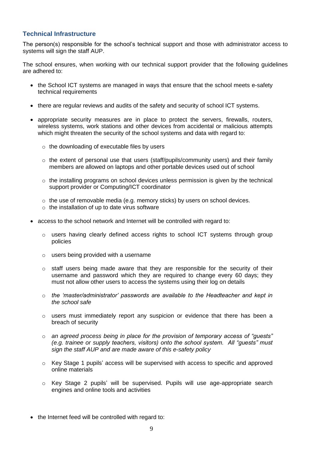## <span id="page-8-0"></span>**Technical Infrastructure**

The person(s) responsible for the school's technical support and those with administrator access to systems will sign the staff AUP.

The school ensures, when working with our technical support provider that the following guidelines are adhered to:

- the School ICT systems are managed in ways that ensure that the school meets e-safety technical requirements
- there are regular reviews and audits of the safety and security of school ICT systems.
- appropriate security measures are in place to protect the servers, firewalls, routers, wireless systems, work stations and other devices from accidental or malicious attempts which might threaten the security of the school systems and data with regard to:
	- $\circ$  the downloading of executable files by users
	- $\circ$  the extent of personal use that users (staff/pupils/community users) and their family members are allowed on laptops and other portable devices used out of school
	- $\circ$  the installing programs on school devices unless permission is given by the technical support provider or Computing/ICT coordinator
	- o the use of removable media (e.g. memory sticks) by users on school devices.
	- o the installation of up to date virus software
- access to the school network and Internet will be controlled with regard to:
	- o users having clearly defined access rights to school ICT systems through group policies
	- o users being provided with a username
	- $\circ$  staff users being made aware that they are responsible for the security of their username and password which they are required to change every 60 days; they must not allow other users to access the systems using their log on details
	- o *the 'master/administrator' passwords are available to the Headteacher and kept in the school safe*
	- $\circ$  users must immediately report any suspicion or evidence that there has been a breach of security
	- o *an agreed process being in place for the provision of temporary access of "guests" (e.g. trainee or supply teachers, visitors) onto the school system. All "guests" must sign the staff AUP and are made aware of this e-safety policy*
	- o Key Stage 1 pupils' access will be supervised with access to specific and approved online materials
	- $\circ$  Key Stage 2 pupils' will be supervised. Pupils will use age-appropriate search engines and online tools and activities
- the Internet feed will be controlled with regard to: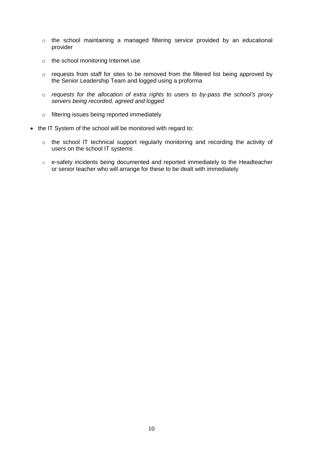- o the school maintaining a managed filtering service provided by an educational provider
- o the school monitoring Internet use
- o requests from staff for sites to be removed from the filtered list being approved by the Senior Leadership Team and logged using a proforma
- o *requests for the allocation of extra rights to users to by-pass the school's proxy servers being recorded, agreed and logged*
- o filtering issues being reported immediately
- the IT System of the school will be monitored with regard to:
	- o the school IT technical support regularly monitoring and recording the activity of users on the school IT systems
	- o e-safety incidents being documented and reported immediately to the Headteacher or senior teacher who will arrange for these to be dealt with immediately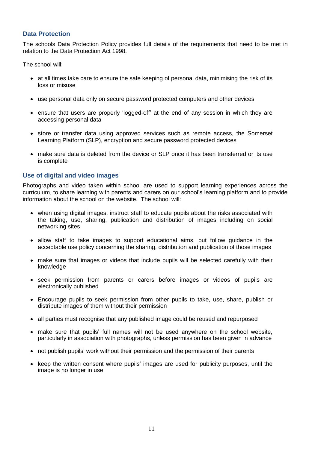### <span id="page-10-0"></span>**Data Protection**

The schools Data Protection Policy provides full details of the requirements that need to be met in relation to the Data Protection Act 1998.

The school will:

- at all times take care to ensure the safe keeping of personal data, minimising the risk of its loss or misuse
- use personal data only on secure password protected computers and other devices
- ensure that users are properly 'logged-off' at the end of any session in which they are accessing personal data
- store or transfer data using approved services such as remote access, the Somerset Learning Platform (SLP), encryption and secure password protected devices
- make sure data is deleted from the device or SLP once it has been transferred or its use is complete

## <span id="page-10-1"></span>**Use of digital and video images**

Photographs and video taken within school are used to support learning experiences across the curriculum, to share learning with parents and carers on our school's learning platform and to provide information about the school on the website. The school will:

- when using digital images, instruct staff to educate pupils about the risks associated with the taking, use, sharing, publication and distribution of images including on social networking sites
- allow staff to take images to support educational aims, but follow guidance in the acceptable use policy concerning the sharing, distribution and publication of those images
- make sure that images or videos that include pupils will be selected carefully with their knowledge
- seek permission from parents or carers before images or videos of pupils are electronically published
- Encourage pupils to seek permission from other pupils to take, use, share, publish or distribute images of them without their permission
- all parties must recognise that any published image could be reused and repurposed
- make sure that pupils' full names will not be used anywhere on the school website, particularly in association with photographs, unless permission has been given in advance
- not publish pupils' work without their permission and the permission of their parents
- keep the written consent where pupils' images are used for publicity purposes, until the image is no longer in use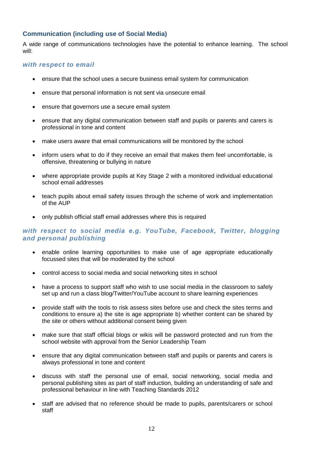## <span id="page-11-0"></span>**Communication (including use of Social Media)**

A wide range of communications technologies have the potential to enhance learning. The school will:

#### *with respect to email*

- ensure that the school uses a secure business email system for communication
- ensure that personal information is not sent via unsecure email
- ensure that governors use a secure email system
- ensure that any digital communication between staff and pupils or parents and carers is professional in tone and content
- make users aware that email communications will be monitored by the school
- inform users what to do if they receive an email that makes them feel uncomfortable, is offensive, threatening or bullying in nature
- where appropriate provide pupils at Key Stage 2 with a monitored individual educational school email addresses
- teach pupils about email safety issues through the scheme of work and implementation of the AUP
- only publish official staff email addresses where this is required

## *with respect to social media e.g. YouTube, Facebook, Twitter, blogging and personal publishing*

- enable online learning opportunities to make use of age appropriate educationally focussed sites that will be moderated by the school
- control access to social media and social networking sites in school
- have a process to support staff who wish to use social media in the classroom to safely set up and run a class blog/Twitter/YouTube account to share learning experiences
- provide staff with the tools to risk assess sites before use and check the sites terms and conditions to ensure a) the site is age appropriate b) whether content can be shared by the site or others without additional consent being given
- make sure that staff official blogs or wikis will be password protected and run from the school website with approval from the Senior Leadership Team
- ensure that any digital communication between staff and pupils or parents and carers is always professional in tone and content
- discuss with staff the personal use of email, social networking, social media and personal publishing sites as part of staff induction, building an understanding of safe and professional behaviour in line with Teaching Standards 2012
- staff are advised that no reference should be made to pupils, parents/carers or school staff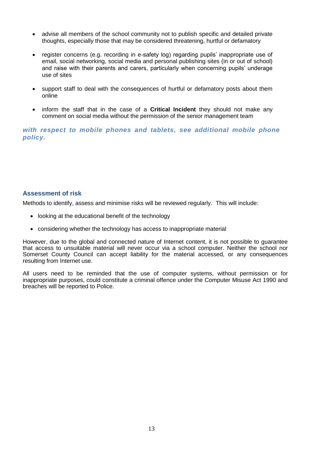- advise all members of the school community not to publish specific and detailed private thoughts, especially those that may be considered threatening, hurtful or defamatory
- register concerns (e.g. recording in e-safety log) regarding pupils' inappropriate use of email, social networking, social media and personal publishing sites (in or out of school) and raise with their parents and carers, particularly when concerning pupils' underage use of sites
- support staff to deal with the consequences of hurtful or defamatory posts about them online
- inform the staff that in the case of a **Critical Incident** they should not make any comment on social media without the permission of the senior management team

*with respect to mobile phones and tablets, see additional mobile phone policy.*

#### <span id="page-12-0"></span>**Assessment of risk**

Methods to identify, assess and minimise risks will be reviewed regularly. This will include:

- looking at the educational benefit of the technology
- considering whether the technology has access to inappropriate material

However, due to the global and connected nature of Internet content, it is not possible to guarantee that access to unsuitable material will never occur via a school computer. Neither the school nor Somerset County Council can accept liability for the material accessed, or any consequences resulting from Internet use.

All users need to be reminded that the use of computer systems, without permission or for inappropriate purposes, could constitute a criminal offence under the Computer Misuse Act 1990 and breaches will be reported to Police.